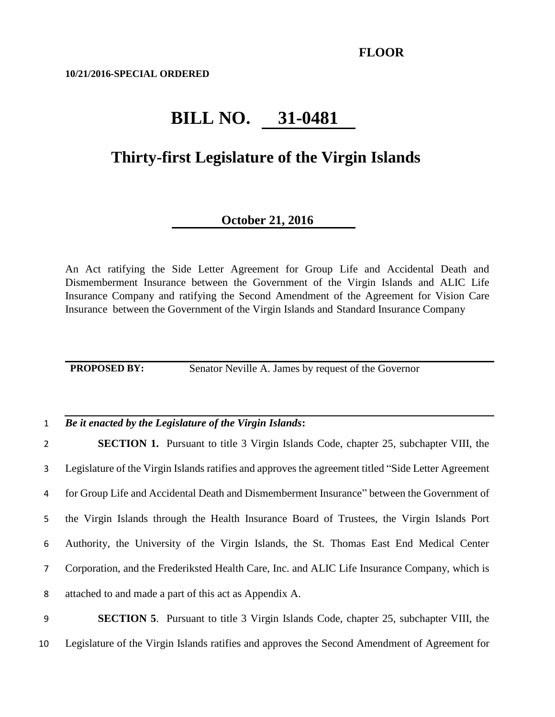**10/21/2016-SPECIAL ORDERED**

# **BILL NO. 31-0481**

### **Thirty-first Legislature of the Virgin Islands**

### **October 21, 2016**

An Act ratifying the Side Letter Agreement for Group Life and Accidental Death and Dismemberment Insurance between the Government of the Virgin Islands and ALIC Life Insurance Company and ratifying the Second Amendment of the Agreement for Vision Care Insurance between the Government of the Virgin Islands and Standard Insurance Company

**PROPOSED BY:** Senator Neville A. James by request of the Governor

#### 1 *Be it enacted by the Legislature of the Virgin Islands***:**

 **SECTION 1.** Pursuant to title 3 Virgin Islands Code, chapter 25, subchapter VIII, the Legislature of the Virgin Islands ratifies and approves the agreement titled "Side Letter Agreement for Group Life and Accidental Death and Dismemberment Insurance" between the Government of the Virgin Islands through the Health Insurance Board of Trustees, the Virgin Islands Port Authority, the University of the Virgin Islands, the St. Thomas East End Medical Center Corporation, and the Frederiksted Health Care, Inc. and ALIC Life Insurance Company, which is attached to and made a part of this act as Appendix A.

## 9 **SECTION 5**. Pursuant to title 3 Virgin Islands Code, chapter 25, subchapter VIII, the 10 Legislature of the Virgin Islands ratifies and approves the Second Amendment of Agreement for